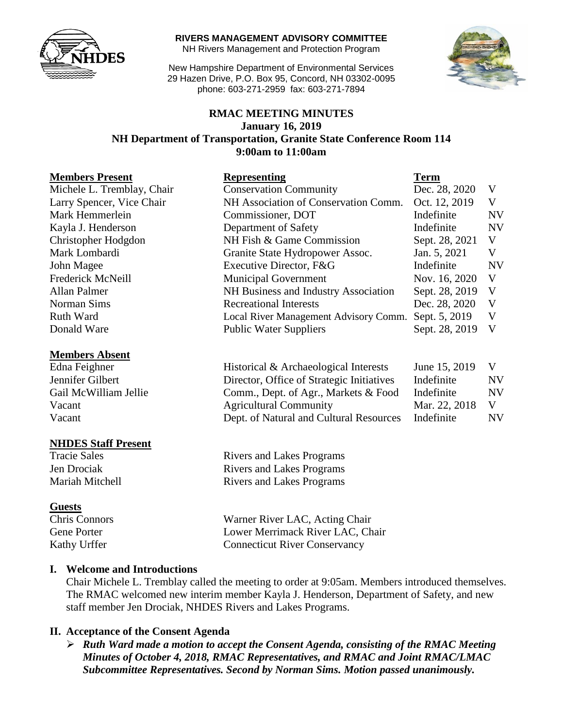

**RIVERS MANAGEMENT ADVISORY COMMITTEE**

NH Rivers Management and Protection Program

New Hampshire Department of Environmental Services 29 Hazen Drive, P.O. Box 95, Concord, NH 03302-0095 phone: 603-271-2959 fax: 603-271-7894



#### **RMAC MEETING MINUTES January 16, 2019 NH Department of Transportation, Granite State Conference Room 114 9:00am to 11:00am**

| <b>Members Present</b>     | <b>Representing</b>                   | <b>Term</b>    |           |
|----------------------------|---------------------------------------|----------------|-----------|
| Michele L. Tremblay, Chair | <b>Conservation Community</b>         | Dec. 28, 2020  | V         |
| Larry Spencer, Vice Chair  | NH Association of Conservation Comm.  | Oct. 12, 2019  | V         |
| Mark Hemmerlein            | Commissioner, DOT                     | Indefinite     | <b>NV</b> |
| Kayla J. Henderson         | Department of Safety                  | Indefinite     | <b>NV</b> |
| Christopher Hodgdon        | NH Fish & Game Commission             | Sept. 28, 2021 | V         |
| Mark Lombardi              | Granite State Hydropower Assoc.       | Jan. 5, 2021   | V         |
| John Magee                 | Executive Director, F&G               | Indefinite     | <b>NV</b> |
| Frederick McNeill          | <b>Municipal Government</b>           | Nov. 16, 2020  | V         |
| <b>Allan Palmer</b>        | NH Business and Industry Association  | Sept. 28, 2019 | V         |
| Norman Sims                | <b>Recreational Interests</b>         | Dec. 28, 2020  | V         |
| <b>Ruth Ward</b>           | Local River Management Advisory Comm. | Sept. 5, 2019  | V         |
| Donald Ware                | <b>Public Water Suppliers</b>         | Sept. 28, 2019 | V         |
| <b>Members Absent</b>      |                                       |                |           |

#### Edna Feighner Historical & Archaeological Interests June 15, 2019 V Jennifer Gilbert Director, Office of Strategic Initiatives Indefinite NV Gail McWilliam Jellie Comm., Dept. of Agr., Markets & Food Indefinite NV Vacant Mar. 22, 2018 V Vacant Dept. of Natural and Cultural Resources Indefinite NV

**NHDES Staff Present**

#### **Guests**

Tracie Sales Rivers and Lakes Programs Jen Drociak Rivers and Lakes Programs Mariah Mitchell **Rivers** and Lakes Programs

Chris Connors Warner River LAC, Acting Chair Gene Porter Lower Merrimack River LAC, Chair Kathy Urffer Connecticut River Conservancy

#### **I. Welcome and Introductions**

Chair Michele L. Tremblay called the meeting to order at 9:05am. Members introduced themselves. The RMAC welcomed new interim member Kayla J. Henderson, Department of Safety, and new staff member Jen Drociak, NHDES Rivers and Lakes Programs.

#### **II. Acceptance of the Consent Agenda**

 *Ruth Ward made a motion to accept the Consent Agenda, consisting of the RMAC Meeting Minutes of October 4, 2018, RMAC Representatives, and RMAC and Joint RMAC/LMAC Subcommittee Representatives. Second by Norman Sims. Motion passed unanimously.*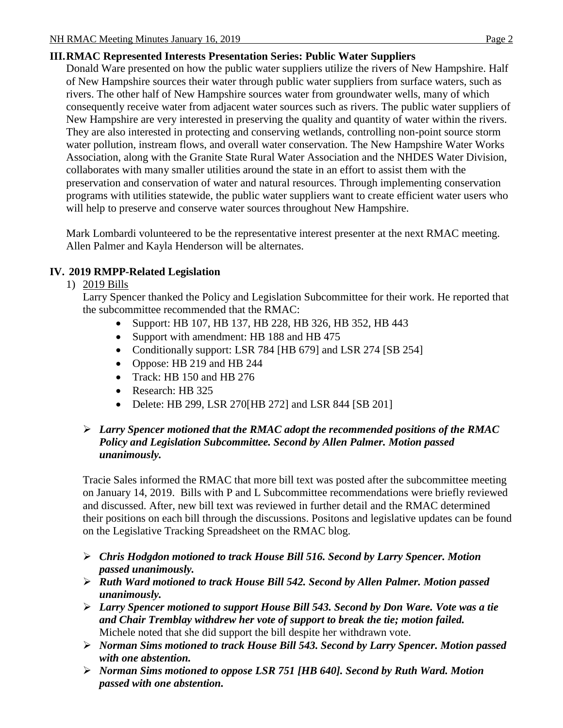# **III.RMAC Represented Interests Presentation Series: Public Water Suppliers**

Donald Ware presented on how the public water suppliers utilize the rivers of New Hampshire. Half of New Hampshire sources their water through public water suppliers from surface waters, such as rivers. The other half of New Hampshire sources water from groundwater wells, many of which consequently receive water from adjacent water sources such as rivers. The public water suppliers of New Hampshire are very interested in preserving the quality and quantity of water within the rivers. They are also interested in protecting and conserving wetlands, controlling non-point source storm water pollution, instream flows, and overall water conservation. The New Hampshire Water Works Association, along with the Granite State Rural Water Association and the NHDES Water Division, collaborates with many smaller utilities around the state in an effort to assist them with the preservation and conservation of water and natural resources. Through implementing conservation programs with utilities statewide, the public water suppliers want to create efficient water users who will help to preserve and conserve water sources throughout New Hampshire.

Mark Lombardi volunteered to be the representative interest presenter at the next RMAC meeting. Allen Palmer and Kayla Henderson will be alternates.

# **IV. 2019 RMPP-Related Legislation**

#### 1) 2019 Bills

Larry Spencer thanked the Policy and Legislation Subcommittee for their work. He reported that the subcommittee recommended that the RMAC:

- Support: HB 107, HB 137, HB 228, HB 326, HB 352, HB 443
- Support with amendment: HB 188 and HB 475
- Conditionally support: LSR 784 [HB 679] and LSR 274 [SB 254]
- Oppose: HB 219 and HB 244
- Track: HB 150 and HB 276
- Research: HB 325
- Delete: HB 299, LSR 270[HB 272] and LSR 844 [SB 201]

## *Larry Spencer motioned that the RMAC adopt the recommended positions of the RMAC Policy and Legislation Subcommittee. Second by Allen Palmer. Motion passed unanimously.*

Tracie Sales informed the RMAC that more bill text was posted after the subcommittee meeting on January 14, 2019. Bills with P and L Subcommittee recommendations were briefly reviewed and discussed. After, new bill text was reviewed in further detail and the RMAC determined their positions on each bill through the discussions. Positons and legislative updates can be found on the Legislative Tracking Spreadsheet on the RMAC blog.

- *Chris Hodgdon motioned to track House Bill 516. Second by Larry Spencer. Motion passed unanimously.*
- *Ruth Ward motioned to track House Bill 542. Second by Allen Palmer. Motion passed unanimously.*
- *Larry Spencer motioned to support House Bill 543. Second by Don Ware. Vote was a tie and Chair Tremblay withdrew her vote of support to break the tie; motion failed.*  Michele noted that she did support the bill despite her withdrawn vote.
- *Norman Sims motioned to track House Bill 543. Second by Larry Spencer. Motion passed with one abstention.*
- *Norman Sims motioned to oppose LSR 751 [HB 640]. Second by Ruth Ward. Motion passed with one abstention.*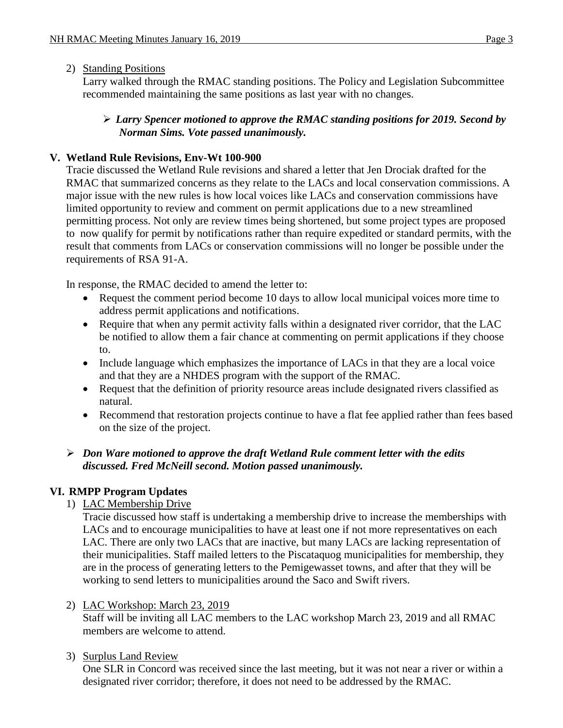#### 2) Standing Positions

Larry walked through the RMAC standing positions. The Policy and Legislation Subcommittee recommended maintaining the same positions as last year with no changes.

#### *Larry Spencer motioned to approve the RMAC standing positions for 2019. Second by Norman Sims. Vote passed unanimously.*

## **V. Wetland Rule Revisions, Env-Wt 100-900**

Tracie discussed the Wetland Rule revisions and shared a letter that Jen Drociak drafted for the RMAC that summarized concerns as they relate to the LACs and local conservation commissions. A major issue with the new rules is how local voices like LACs and conservation commissions have limited opportunity to review and comment on permit applications due to a new streamlined permitting process. Not only are review times being shortened, but some project types are proposed to now qualify for permit by notifications rather than require expedited or standard permits, with the result that comments from LACs or conservation commissions will no longer be possible under the requirements of RSA 91-A.

In response, the RMAC decided to amend the letter to:

- Request the comment period become 10 days to allow local municipal voices more time to address permit applications and notifications.
- Require that when any permit activity falls within a designated river corridor, that the LAC be notified to allow them a fair chance at commenting on permit applications if they choose to.
- Include language which emphasizes the importance of LACs in that they are a local voice and that they are a NHDES program with the support of the RMAC.
- Request that the definition of priority resource areas include designated rivers classified as natural.
- Recommend that restoration projects continue to have a flat fee applied rather than fees based on the size of the project.

#### *Don Ware motioned to approve the draft Wetland Rule comment letter with the edits discussed. Fred McNeill second. Motion passed unanimously.*

#### **VI. RMPP Program Updates**

1) LAC Membership Drive

Tracie discussed how staff is undertaking a membership drive to increase the memberships with LACs and to encourage municipalities to have at least one if not more representatives on each LAC. There are only two LACs that are inactive, but many LACs are lacking representation of their municipalities. Staff mailed letters to the Piscataquog municipalities for membership, they are in the process of generating letters to the Pemigewasset towns, and after that they will be working to send letters to municipalities around the Saco and Swift rivers.

2) LAC Workshop: March 23, 2019

Staff will be inviting all LAC members to the LAC workshop March 23, 2019 and all RMAC members are welcome to attend.

3) Surplus Land Review

One SLR in Concord was received since the last meeting, but it was not near a river or within a designated river corridor; therefore, it does not need to be addressed by the RMAC.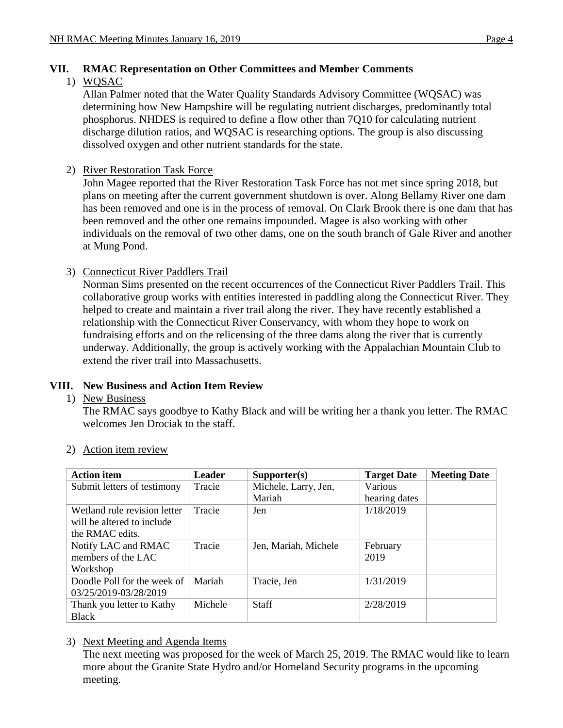## **VII. RMAC Representation on Other Committees and Member Comments**

#### 1) WQSAC

Allan Palmer noted that the Water Quality Standards Advisory Committee (WQSAC) was determining how New Hampshire will be regulating nutrient discharges, predominantly total phosphorus. NHDES is required to define a flow other than 7Q10 for calculating nutrient discharge dilution ratios, and WQSAC is researching options. The group is also discussing dissolved oxygen and other nutrient standards for the state.

## 2) River Restoration Task Force

John Magee reported that the River Restoration Task Force has not met since spring 2018, but plans on meeting after the current government shutdown is over. Along Bellamy River one dam has been removed and one is in the process of removal. On Clark Brook there is one dam that has been removed and the other one remains impounded. Magee is also working with other individuals on the removal of two other dams, one on the south branch of Gale River and another at Mung Pond.

#### 3) Connecticut River Paddlers Trail

Norman Sims presented on the recent occurrences of the Connecticut River Paddlers Trail. This collaborative group works with entities interested in paddling along the Connecticut River. They helped to create and maintain a river trail along the river. They have recently established a relationship with the Connecticut River Conservancy, with whom they hope to work on fundraising efforts and on the relicensing of the three dams along the river that is currently underway. Additionally, the group is actively working with the Appalachian Mountain Club to extend the river trail into Massachusetts.

#### **VIII. New Business and Action Item Review**

1) New Business

The RMAC says goodbye to Kathy Black and will be writing her a thank you letter. The RMAC welcomes Jen Drociak to the staff.

| <b>Action item</b>           | <b>Leader</b> | Supporter(s)         | <b>Target Date</b> | <b>Meeting Date</b> |
|------------------------------|---------------|----------------------|--------------------|---------------------|
| Submit letters of testimony  | Tracie        | Michele, Larry, Jen, | Various            |                     |
|                              |               | Mariah               | hearing dates      |                     |
| Wetland rule revision letter | Tracie        | Jen                  | 1/18/2019          |                     |
| will be altered to include   |               |                      |                    |                     |
| the RMAC edits.              |               |                      |                    |                     |
| Notify LAC and RMAC          | Tracie        | Jen, Mariah, Michele | February           |                     |
| members of the LAC           |               |                      | 2019               |                     |
| Workshop                     |               |                      |                    |                     |
| Doodle Poll for the week of  | Mariah        | Tracie, Jen          | 1/31/2019          |                     |
| 03/25/2019-03/28/2019        |               |                      |                    |                     |
| Thank you letter to Kathy    | Michele       | <b>Staff</b>         | 2/28/2019          |                     |
| <b>Black</b>                 |               |                      |                    |                     |

#### 2) Action item review

#### 3) Next Meeting and Agenda Items

The next meeting was proposed for the week of March 25, 2019. The RMAC would like to learn more about the Granite State Hydro and/or Homeland Security programs in the upcoming meeting.